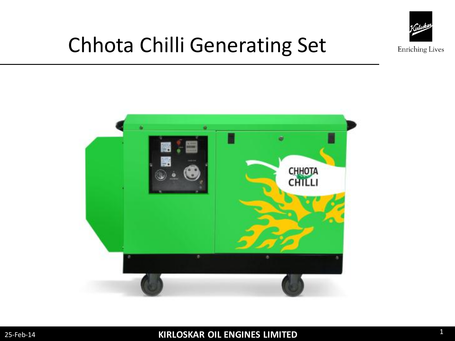

## Chhota Chilli Generating Set

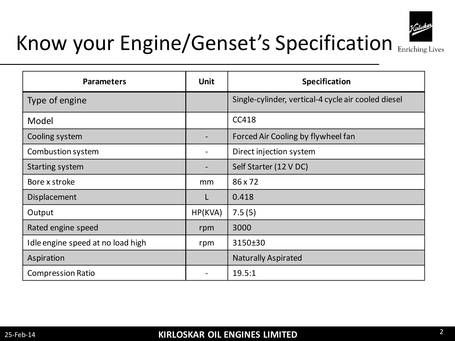

| <b>Parameters</b>                 | <b>Unit</b>              | Specification                                       |
|-----------------------------------|--------------------------|-----------------------------------------------------|
| Type of engine                    |                          | Single-cylinder, vertical-4 cycle air cooled diesel |
| Model                             |                          | CC418                                               |
| Cooling system                    |                          | Forced Air Cooling by flywheel fan                  |
| Combustion system                 | -                        | Direct injection system                             |
| <b>Starting system</b>            | $\overline{\phantom{a}}$ | Self Starter (12 V DC)                              |
| Bore x stroke                     | mm                       | 86 x 72                                             |
| Displacement                      | L                        | 0.418                                               |
| Output                            | HP(KVA)                  | 7.5(5)                                              |
| Rated engine speed                | rpm                      | 3000                                                |
| Idle engine speed at no load high | rpm                      | 3150±30                                             |
| Aspiration                        |                          | <b>Naturally Aspirated</b>                          |
| <b>Compression Ratio</b>          |                          | 19.5:1                                              |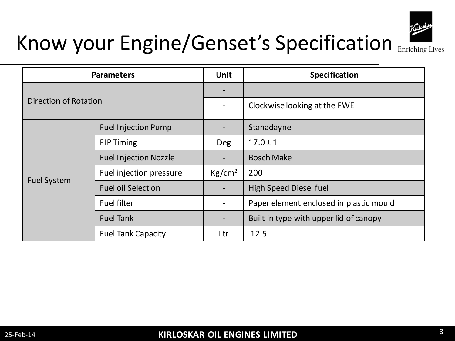

| <b>Parameters</b>     |                              | <b>Unit</b>        | Specification                           |
|-----------------------|------------------------------|--------------------|-----------------------------------------|
| Direction of Rotation |                              |                    |                                         |
|                       |                              |                    | Clockwise looking at the FWE            |
| <b>Fuel System</b>    | <b>Fuel Injection Pump</b>   |                    | Stanadayne                              |
|                       | <b>FIP Timing</b>            | Deg                | $17.0 \pm 1$                            |
|                       | <b>Fuel Injection Nozzle</b> |                    | <b>Bosch Make</b>                       |
|                       | Fuel injection pressure      | Kg/cm <sup>2</sup> | 200                                     |
|                       | <b>Fuel oil Selection</b>    |                    | High Speed Diesel fuel                  |
|                       | <b>Fuel filter</b>           |                    | Paper element enclosed in plastic mould |
|                       | <b>Fuel Tank</b>             |                    | Built in type with upper lid of canopy  |
|                       | <b>Fuel Tank Capacity</b>    | Ltr                | 12.5                                    |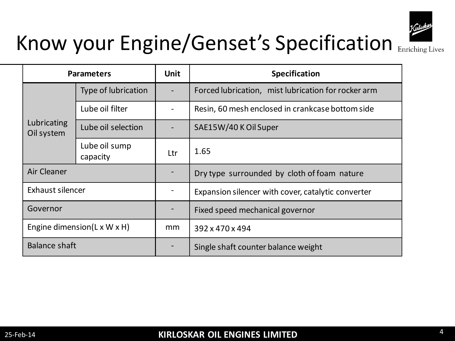

|                           | <b>Parameters</b>                         | <b>Unit</b> | <b>Specification</b>                                |
|---------------------------|-------------------------------------------|-------------|-----------------------------------------------------|
|                           | Type of lubrication                       |             | Forced lubrication, mist lubrication for rocker arm |
| Lubricating<br>Oil system | Lube oil filter                           |             | Resin, 60 mesh enclosed in crankcase bottom side    |
|                           | Lube oil selection                        |             | SAE15W/40 K Oil Super                               |
|                           | Lube oil sump<br>capacity                 | Ltr         | 1.65                                                |
| Air Cleaner               |                                           |             | Dry type surrounded by cloth of foam nature         |
| Exhaust silencer          |                                           |             | Expansion silencer with cover, catalytic converter  |
| Governor                  |                                           |             | Fixed speed mechanical governor                     |
|                           | Engine dimension( $L \times W \times H$ ) | mm          | 392 x 470 x 494                                     |
| Balance shaft             |                                           |             | Single shaft counter balance weight                 |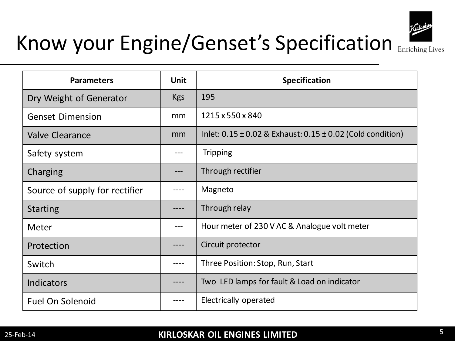

| <b>Parameters</b>              | <b>Unit</b> | Specification                                                      |
|--------------------------------|-------------|--------------------------------------------------------------------|
| Dry Weight of Generator        | <b>Kgs</b>  | 195                                                                |
| <b>Genset Dimension</b>        | mm          | 1215 x 550 x 840                                                   |
| <b>Valve Clearance</b>         | mm          | Inlet: $0.15 \pm 0.02$ & Exhaust: $0.15 \pm 0.02$ (Cold condition) |
| Safety system                  |             | <b>Tripping</b>                                                    |
| Charging                       |             | Through rectifier                                                  |
| Source of supply for rectifier |             | Magneto                                                            |
| <b>Starting</b>                |             | Through relay                                                      |
| Meter                          |             | Hour meter of 230 V AC & Analogue volt meter                       |
| Protection                     |             | Circuit protector                                                  |
| Switch                         |             | Three Position: Stop, Run, Start                                   |
| <b>Indicators</b>              |             | Two LED lamps for fault & Load on indicator                        |
| <b>Fuel On Solenoid</b>        |             | Electrically operated                                              |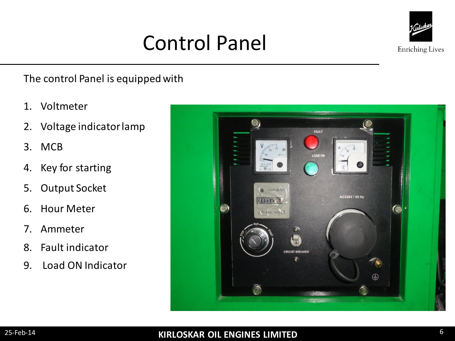### Control Panel



The control Panel is equipped with

- 1. Voltmeter
- 2. Voltage indicator lamp
- 3. MCB
- 4. Key for starting
- 5. Output Socket
- 6. Hour Meter
- 7. Ammeter
- 8. Fault indicator
- 9. Load ON Indicator

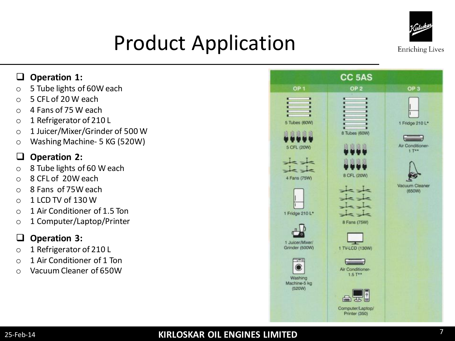

# Product Application